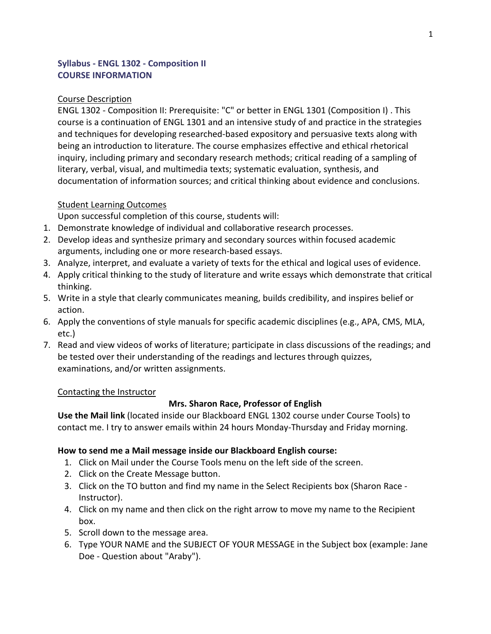### **Syllabus - ENGL 1302 - Composition II COURSE INFORMATION**

#### Course Description

ENGL 1302 - Composition II: Prerequisite: "C" or better in ENGL 1301 (Composition I) . This course is a continuation of ENGL 1301 and an intensive study of and practice in the strategies and techniques for developing researched-based expository and persuasive texts along with being an introduction to literature. The course emphasizes effective and ethical rhetorical inquiry, including primary and secondary research methods; critical reading of a sampling of literary, verbal, visual, and multimedia texts; systematic evaluation, synthesis, and documentation of information sources; and critical thinking about evidence and conclusions.

#### Student Learning Outcomes

Upon successful completion of this course, students will:

- 1. Demonstrate knowledge of individual and collaborative research processes.
- 2. Develop ideas and synthesize primary and secondary sources within focused academic arguments, including one or more research-based essays.
- 3. Analyze, interpret, and evaluate a variety of texts for the ethical and logical uses of evidence.
- 4. Apply critical thinking to the study of literature and write essays which demonstrate that critical thinking.
- 5. Write in a style that clearly communicates meaning, builds credibility, and inspires belief or action.
- 6. Apply the conventions of style manuals for specific academic disciplines (e.g., APA, CMS, MLA, etc.)
- 7. Read and view videos of works of literature; participate in class discussions of the readings; and be tested over their understanding of the readings and lectures through quizzes, examinations, and/or written assignments.

#### Contacting the Instructor

#### **Mrs. Sharon Race, Professor of English**

**Use the Mail link** (located inside our Blackboard ENGL 1302 course under Course Tools) to contact me. I try to answer emails within 24 hours Monday-Thursday and Friday morning.

### **How to send me a Mail message inside our Blackboard English course:**

- 1. Click on Mail under the Course Tools menu on the left side of the screen.
- 2. Click on the Create Message button.
- 3. Click on the TO button and find my name in the Select Recipients box (Sharon Race Instructor).
- 4. Click on my name and then click on the right arrow to move my name to the Recipient box.
- 5. Scroll down to the message area.
- 6. Type YOUR NAME and the SUBJECT OF YOUR MESSAGE in the Subject box (example: Jane Doe - Question about "Araby").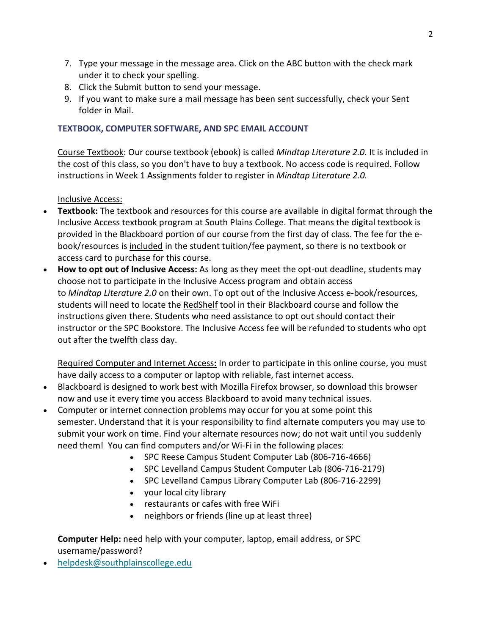- 7. Type your message in the message area. Click on the ABC button with the check mark under it to check your spelling.
- 8. Click the Submit button to send your message.
- 9. If you want to make sure a mail message has been sent successfully, check your Sent folder in Mail.

## **TEXTBOOK, COMPUTER SOFTWARE, AND SPC EMAIL ACCOUNT**

Course Textbook: Our course textbook (ebook) is called *Mindtap Literature 2.0.* It is included in the cost of this class, so you don't have to buy a textbook. No access code is required. Follow instructions in Week 1 Assignments folder to register in *Mindtap Literature 2.0.*

Inclusive Access:

- **Textbook:** The textbook and resources for this course are available in digital format through the Inclusive Access textbook program at South Plains College. That means the digital textbook is provided in the Blackboard portion of our course from the first day of class. The fee for the ebook/resources is included in the student tuition/fee payment, so there is no textbook or access card to purchase for this course.
- **How to opt out of Inclusive Access:** As long as they meet the opt-out deadline, students may choose not to participate in the Inclusive Access program and obtain access to *Mindtap Literature 2.0* on their own. To opt out of the Inclusive Access e-book/resources, students will need to locate the RedShelf tool in their Blackboard course and follow the instructions given there. Students who need assistance to opt out should contact their instructor or the SPC Bookstore. The Inclusive Access fee will be refunded to students who opt out after the twelfth class day.

Required Computer and Internet Access**:** In order to participate in this online course, you must have daily access to a computer or laptop with reliable, fast internet access.

- Blackboard is designed to work best with Mozilla Firefox browser, so download this browser now and use it every time you access Blackboard to avoid many technical issues.
- Computer or internet connection problems may occur for you at some point this semester. Understand that it is your responsibility to find alternate computers you may use to submit your work on time. Find your alternate resources now; do not wait until you suddenly need them! You can find computers and/or Wi-Fi in the following places:
	- SPC Reese Campus Student Computer Lab (806-716-4666)
	- SPC Levelland Campus Student Computer Lab (806-716-2179)
	- SPC Levelland Campus Library Computer Lab (806-716-2299)
	- your local city library
	- restaurants or cafes with free WiFi
	- neighbors or friends (line up at least three)

# **Computer Help:** need help with your computer, laptop, email address, or SPC username/password?

• [helpdesk@southplainscollege.edu](mailto:helpdesk@southplainscollege.edu)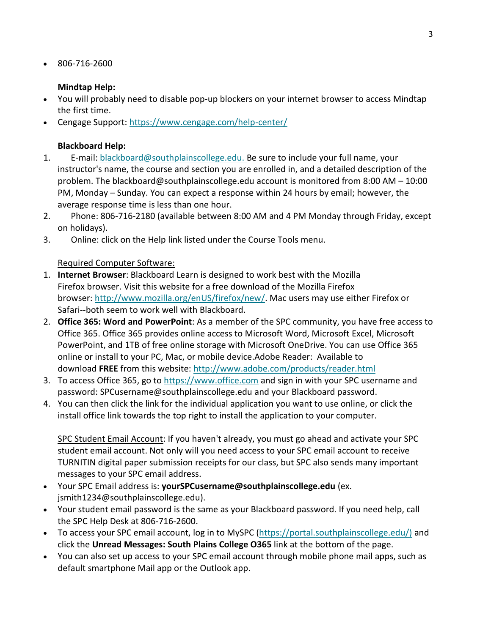• 806-716-2600

### **Mindtap Help:**

- You will probably need to disable pop-up blockers on your internet browser to access Mindtap the first time.
- Cengage Support: <https://www.cengage.com/help-center/>

### **Blackboard Help:**

- 1. E-mail: [blackboard@southplainscollege.edu.](mailto:blackboard@southplainscollege.edu) Be sure to include your full name, your instructor's name, the course and section you are enrolled in, and a detailed description of the problem. The blackboard@southplainscollege.edu account is monitored from 8:00 AM – 10:00 PM, Monday – Sunday. You can expect a response within 24 hours by email; however, the average response time is less than one hour.
- 2. Phone: 806-716-2180 (available between 8:00 AM and 4 PM Monday through Friday, except on holidays).
- 3. Online: click on the Help link listed under the Course Tools menu.

### Required Computer Software:

- 1. **Internet Browser**: Blackboard Learn is designed to work best with the Mozilla Firefox browser. Visit this website for a free download of the Mozilla Firefox browser: [http://www.mozilla.org/enUS/firefox/new/.](http://www.mozilla.org/en-US/firefox/new/) Mac users may use either Firefox or Safari--both seem to work well with Blackboard.
- 2. **Office 365: Word and PowerPoint**: As a member of the SPC community, you have free access to Office 365. Office 365 provides online access to Microsoft Word, Microsoft Excel, Microsoft PowerPoint, and 1TB of free online storage with Microsoft OneDrive. You can use Office 365 online or install to your PC, Mac, or mobile device.Adobe Reader: Available to download **FREE** from this website: <http://www.adobe.com/products/reader.html>
- 3. To access Office 365, go to [https://www.office.com](https://www.office.com/) and sign in with your SPC username and password: SPCusername@southplainscollege.edu and your Blackboard password.
- 4. You can then click the link for the individual application you want to use online, or click the install office link towards the top right to install the application to your computer.

SPC Student Email Account: If you haven't already, you must go ahead and activate your SPC student email account. Not only will you need access to your SPC email account to receive TURNITIN digital paper submission receipts for our class, but SPC also sends many important messages to your SPC email address.

- Your SPC Email address is: **yourSPCusername@southplainscollege.edu** (ex. jsmith1234@southplainscollege.edu).
- Your student email password is the same as your Blackboard password. If you need help, call the SPC Help Desk at 806-716-2600.
- To access your SPC email account, log in to MySPC [\(https://portal.southplainscollege.edu/\)](https://portal.southplainscollege.edu/) and click the **Unread Messages: South Plains College O365** link at the bottom of the page.
- You can also set up access to your SPC email account through mobile phone mail apps, such as default smartphone Mail app or the Outlook app.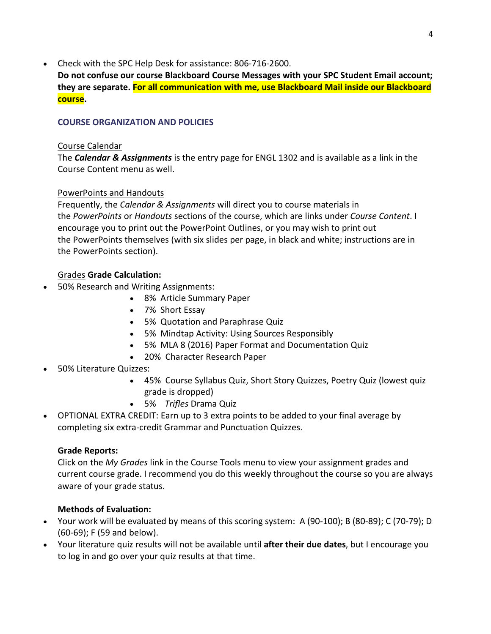• Check with the SPC Help Desk for assistance: 806-716-2600.

**Do not confuse our course Blackboard Course Messages with your SPC Student Email account; they are separate. For all communication with me, use Blackboard Mail inside our Blackboard course.**

### **COURSE ORGANIZATION AND POLICIES**

### Course Calendar

The *Calendar & Assignments* is the entry page for ENGL 1302 and is available as a link in the Course Content menu as well.

## PowerPoints and Handouts

Frequently, the *Calendar & Assignments* will direct you to course materials in the *PowerPoints* or *Handouts* sections of the course, which are links under *Course Content*. I encourage you to print out the PowerPoint Outlines, or you may wish to print out the PowerPoints themselves (with six slides per page, in black and white; instructions are in the PowerPoints section).

# Grades **Grade Calculation:**

- 50% Research and Writing Assignments:
	- 8% Article Summary Paper
	- 7% Short Essay
	- 5% Quotation and Paraphrase Quiz
	- 5% Mindtap Activity: Using Sources Responsibly
	- 5% MLA 8 (2016) Paper Format and Documentation Quiz
	- 20% Character Research Paper
- 50% Literature Quizzes:
	- 45% Course Syllabus Quiz, Short Story Quizzes, Poetry Quiz (lowest quiz grade is dropped)
	- 5% *Trifles* Drama Quiz
- OPTIONAL EXTRA CREDIT: Earn up to 3 extra points to be added to your final average by completing six extra-credit Grammar and Punctuation Quizzes.

## **Grade Reports:**

Click on the *My Grades* link in the Course Tools menu to view your assignment grades and current course grade. I recommend you do this weekly throughout the course so you are always aware of your grade status.

## **Methods of Evaluation:**

- Your work will be evaluated by means of this scoring system: A (90-100); B (80-89); C (70-79); D (60-69); F (59 and below).
- Your literature quiz results will not be available until **after their due dates**, but I encourage you to log in and go over your quiz results at that time.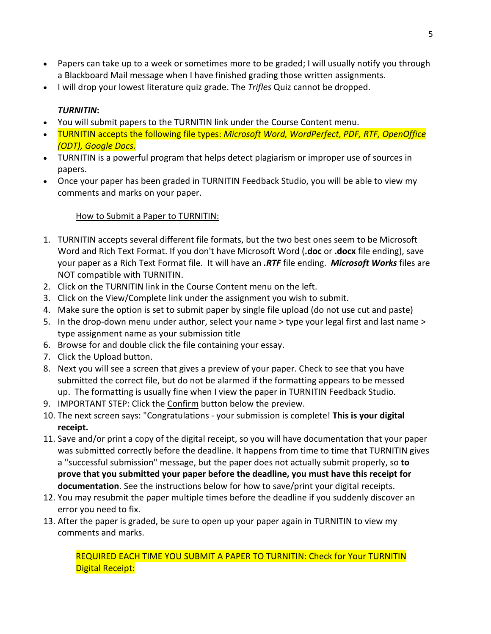- Papers can take up to a week or sometimes more to be graded; I will usually notify you through a Blackboard Mail message when I have finished grading those written assignments.
- I will drop your lowest literature quiz grade. The *Trifles* Quiz cannot be dropped.

## *TURNITIN***:**

- You will submit papers to the TURNITIN link under the Course Content menu.
- TURNITIN accepts the following file types: *Microsoft Word, WordPerfect, PDF, RTF, OpenOffice (ODT), Google Docs.*
- TURNITIN is a powerful program that helps detect plagiarism or improper use of sources in papers.
- Once your paper has been graded in TURNITIN Feedback Studio, you will be able to view my comments and marks on your paper.

### How to Submit a Paper to TURNITIN:

- 1. TURNITIN accepts several different file formats, but the two best ones seem to be Microsoft Word and Rich Text Format. If you don't have Microsoft Word (**.doc** or **.docx** file ending), save your paper as a Rich Text Format file. It will have an *.RTF* file ending. *Microsoft Works* files are NOT compatible with TURNITIN.
- 2. Click on the TURNITIN link in the Course Content menu on the left.
- 3. Click on the View/Complete link under the assignment you wish to submit.
- 4. Make sure the option is set to submit paper by single file upload (do not use cut and paste)
- 5. In the drop-down menu under author, select your name > type your legal first and last name > type assignment name as your submission title
- 6. Browse for and double click the file containing your essay.
- 7. Click the Upload button.
- 8. Next you will see a screen that gives a preview of your paper. Check to see that you have submitted the correct file, but do not be alarmed if the formatting appears to be messed up. The formatting is usually fine when I view the paper in TURNITIN Feedback Studio.
- 9. IMPORTANT STEP: Click the Confirm button below the preview.
- 10. The next screen says: "Congratulations your submission is complete! **This is your digital receipt.**
- 11. Save and/or print a copy of the digital receipt, so you will have documentation that your paper was submitted correctly before the deadline. It happens from time to time that TURNITIN gives a "successful submission" message, but the paper does not actually submit properly, so **to prove that you submitted your paper before the deadline, you must have this receipt for documentation**. See the instructions below for how to save/print your digital receipts.
- 12. You may resubmit the paper multiple times before the deadline if you suddenly discover an error you need to fix.
- 13. After the paper is graded, be sure to open up your paper again in TURNITIN to view my comments and marks.

REQUIRED EACH TIME YOU SUBMIT A PAPER TO TURNITIN: Check for Your TURNITIN Digital Receipt: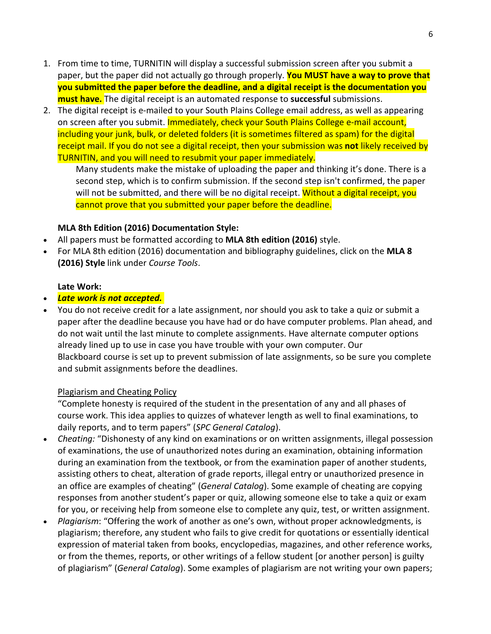- 1. From time to time, TURNITIN will display a successful submission screen after you submit a paper, but the paper did not actually go through properly. **You MUST have a way to prove that you submitted the paper before the deadline, and a digital receipt is the documentation you must have.** The digital receipt is an automated response to **successful** submissions.
- 2. The digital receipt is e-mailed to your South Plains College email address, as well as appearing on screen after you submit. Immediately, check your South Plains College e-mail account, including your junk, bulk, or deleted folders (it is sometimes filtered as spam) for the digital receipt mail. If you do not see a digital receipt, then your submission was **not** likely received by TURNITIN, and you will need to resubmit your paper immediately.

Many students make the mistake of uploading the paper and thinking it's done. There is a second step, which is to confirm submission. If the second step isn't confirmed, the paper will not be submitted, and there will be no digital receipt. Without a digital receipt, you cannot prove that you submitted your paper before the deadline.

### **MLA 8th Edition (2016) Documentation Style:**

- All papers must be formatted according to **MLA 8th edition (2016)** style.
- For MLA 8th edition (2016) documentation and bibliography guidelines, click on the **MLA 8 (2016) Style** link under *Course Tools*.

### **Late Work:**

- *Late work is not accepted.*
- You do not receive credit for a late assignment, nor should you ask to take a quiz or submit a paper after the deadline because you have had or do have computer problems. Plan ahead, and do not wait until the last minute to complete assignments. Have alternate computer options already lined up to use in case you have trouble with your own computer. Our Blackboard course is set up to prevent submission of late assignments, so be sure you complete and submit assignments before the deadlines.

### Plagiarism and Cheating Policy

"Complete honesty is required of the student in the presentation of any and all phases of course work. This idea applies to quizzes of whatever length as well to final examinations, to daily reports, and to term papers" (*SPC General Catalog*).

- *Cheating:* "Dishonesty of any kind on examinations or on written assignments, illegal possession of examinations, the use of unauthorized notes during an examination, obtaining information during an examination from the textbook, or from the examination paper of another students, assisting others to cheat, alteration of grade reports, illegal entry or unauthorized presence in an office are examples of cheating" (*General Catalog*). Some example of cheating are copying responses from another student's paper or quiz, allowing someone else to take a quiz or exam for you, or receiving help from someone else to complete any quiz, test, or written assignment.
- *Plagiarism*: "Offering the work of another as one's own, without proper acknowledgments, is plagiarism; therefore, any student who fails to give credit for quotations or essentially identical expression of material taken from books, encyclopedias, magazines, and other reference works, or from the themes, reports, or other writings of a fellow student [or another person] is guilty of plagiarism" (*General Catalog*). Some examples of plagiarism are not writing your own papers;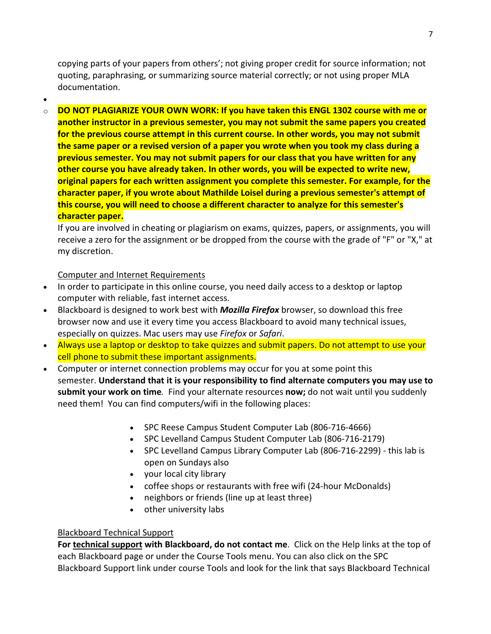copying parts of your papers from others'; not giving proper credit for source information; not quoting, paraphrasing, or summarizing source material correctly; or not using proper MLA documentation.

•

o **DO NOT PLAGIARIZE YOUR OWN WORK: If you have taken this ENGL 1302 course with me or another instructor in a previous semester, you may not submit the same papers you created for the previous course attempt in this current course. In other words, you may not submit the same paper or a revised version of a paper you wrote when you took my class during a previous semester. You may not submit papers for our class that you have written for any other course you have already taken. In other words, you will be expected to write new, original papers for each written assignment you complete this semester. For example, for the character paper, if you wrote about Mathilde Loisel during a previous semester's attempt of this course, you will need to choose a different character to analyze for this semester's character paper.**

If you are involved in cheating or plagiarism on exams, quizzes, papers, or assignments, you will receive a zero for the assignment or be dropped from the course with the grade of "F" or "X," at my discretion.

## Computer and Internet Requirements

- In order to participate in this online course, you need daily access to a desktop or laptop computer with reliable, fast internet access.
- Blackboard is designed to work best with *Mozilla Firefox* browser, so download this free browser now and use it every time you access Blackboard to avoid many technical issues, especially on quizzes. Mac users may use *Firefox* or *Safari*.
- Always use a laptop or desktop to take quizzes and submit papers. Do not attempt to use your cell phone to submit these important assignments.
- Computer or internet connection problems may occur for you at some point this semester. **Understand that it is your responsibility to find alternate computers you may use to submit your work on time***.* Find your alternate resources **now;** do not wait until you suddenly need them! You can find computers/wifi in the following places:
	- SPC Reese Campus Student Computer Lab (806-716-4666)
	- SPC Levelland Campus Student Computer Lab (806-716-2179)
	- SPC Levelland Campus Library Computer Lab (806-716-2299) this lab is open on Sundays also
	- your local city library
	- coffee shops or restaurants with free wifi (24-hour McDonalds)
	- neighbors or friends (line up at least three)
	- other university labs

### Blackboard Technical Support

**For technical support with Blackboard, do not contact me**. Click on the Help links at the top of each Blackboard page or under the Course Tools menu. You can also click on the SPC Blackboard Support link under course Tools and look for the link that says Blackboard Technical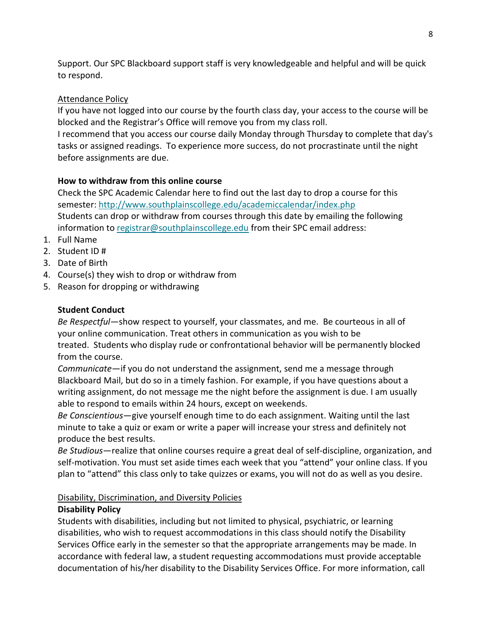Support. Our SPC Blackboard support staff is very knowledgeable and helpful and will be quick to respond.

## Attendance Policy

If you have not logged into our course by the fourth class day, your access to the course will be blocked and the Registrar's Office will remove you from my class roll.

I recommend that you access our course daily Monday through Thursday to complete that day's tasks or assigned readings. To experience more success, do not procrastinate until the night before assignments are due.

## **How to withdraw from this online course**

Check the SPC Academic Calendar here to find out the last day to drop a course for this semester: <http://www.southplainscollege.edu/academiccalendar/index.php> Students can drop or withdraw from courses through this date by emailing the following information to [registrar@southplainscollege.edu](mailto:registrar@southplainscollege.edu) from their SPC email address:

- 1. Full Name
- 2. Student ID #
- 3. Date of Birth
- 4. Course(s) they wish to drop or withdraw from
- 5. Reason for dropping or withdrawing

# **Student Conduct**

*Be Respectful—*show respect to yourself, your classmates, and me. Be courteous in all of your online communication. Treat others in communication as you wish to be treated. Students who display rude or confrontational behavior will be permanently blocked from the course.

*Communicate*—if you do not understand the assignment, send me a message through Blackboard Mail, but do so in a timely fashion. For example, if you have questions about a writing assignment, do not message me the night before the assignment is due. I am usually able to respond to emails within 24 hours, except on weekends.

*Be Conscientious*—give yourself enough time to do each assignment. Waiting until the last minute to take a quiz or exam or write a paper will increase your stress and definitely not produce the best results.

*Be Studious*—realize that online courses require a great deal of self-discipline, organization, and self-motivation. You must set aside times each week that you "attend" your online class. If you plan to "attend" this class only to take quizzes or exams, you will not do as well as you desire.

## Disability, Discrimination, and Diversity Policies

# **Disability Policy**

Students with disabilities, including but not limited to physical, psychiatric, or learning disabilities, who wish to request accommodations in this class should notify the Disability Services Office early in the semester so that the appropriate arrangements may be made. In accordance with federal law, a student requesting accommodations must provide acceptable documentation of his/her disability to the Disability Services Office. For more information, call